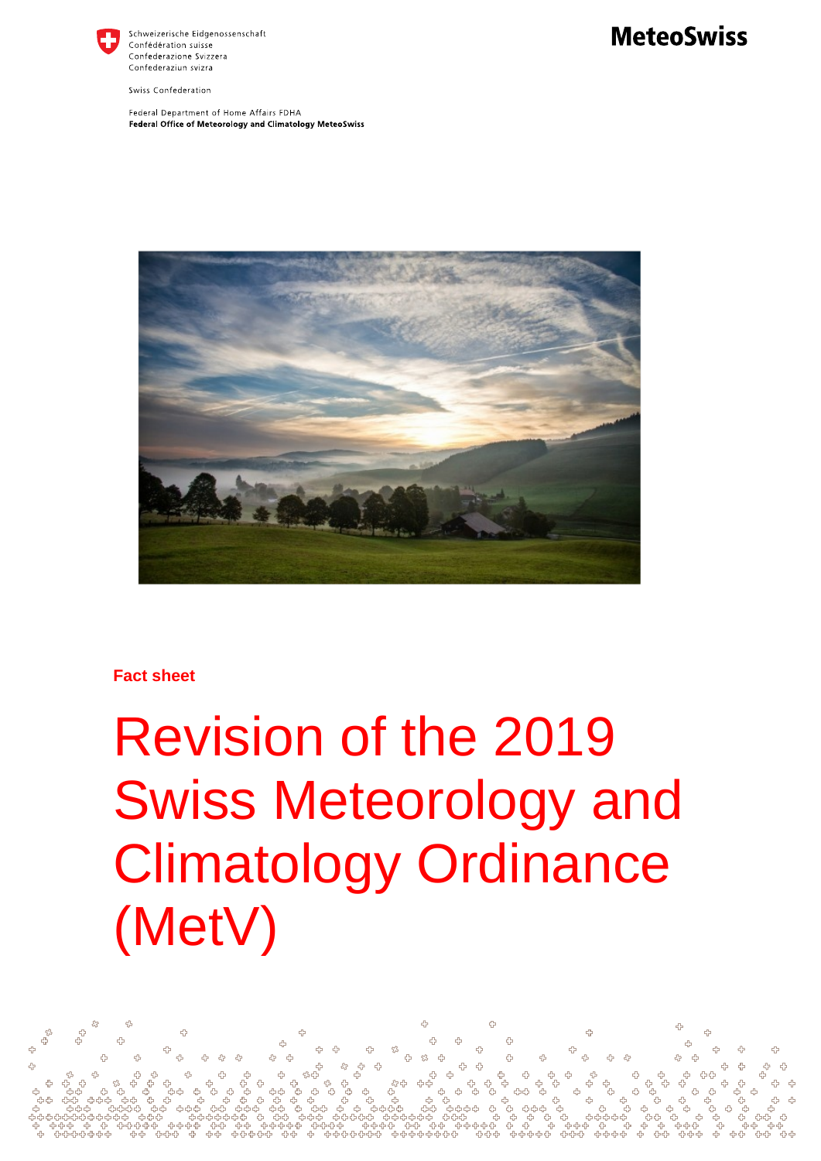

Schweizerische Eidgenossenschaft Confédération suisse Confederazione Svizzera Confederaziun svizra

Swiss Confederation

Federal Department of Home Affairs FDHA Federal Office of Meteorology and Climatology MeteoSwiss



### **Fact sheet**

# Revision of the 2019 Swiss Meteorology and Climatology Ordinance (MetV)

## **MeteoSwiss**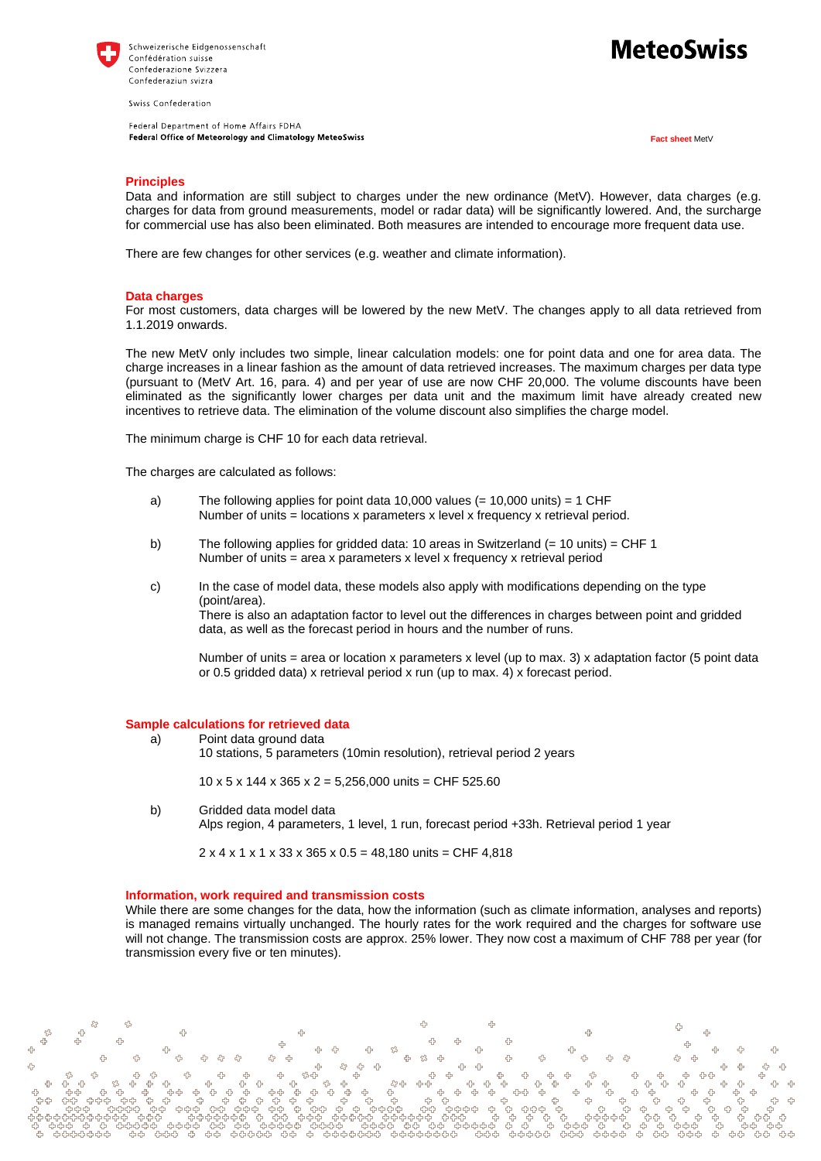

Swiss Confederation

Federal Department of Home Affairs FDHA Federal Office of Meteorology and Climatology MeteoSwiss

## MeteoSwiss

**Fact sheet** MetV

#### **Principles**

Data and information are still subject to charges under the new ordinance (MetV). However, data charges (e.g. charges for data from ground measurements, model or radar data) will be significantly lowered. And, the surcharge for commercial use has also been eliminated. Both measures are intended to encourage more frequent data use.

There are few changes for other services (e.g. weather and climate information).

#### **Data charges**

For most customers, data charges will be lowered by the new MetV. The changes apply to all data retrieved from 1.1.2019 onwards.

The new MetV only includes two simple, linear calculation models: one for point data and one for area data. The charge increases in a linear fashion as the amount of data retrieved increases. The maximum charges per data type (pursuant to (MetV Art. 16, para. 4) and per year of use are now CHF 20,000. The volume discounts have been eliminated as the significantly lower charges per data unit and the maximum limit have already created new incentives to retrieve data. The elimination of the volume discount also simplifies the charge model.

The minimum charge is CHF 10 for each data retrieval.

The charges are calculated as follows:

- a) The following applies for point data 10,000 values (= 10,000 units) = 1 CHF Number of units = locations x parameters x level x frequency x retrieval period.
- b) The following applies for gridded data: 10 areas in Switzerland (= 10 units) = CHF 1 Number of units = area x parameters x level x frequency x retrieval period
- c) In the case of model data, these models also apply with modifications depending on the type (point/area). There is also an adaptation factor to level out the differences in charges between point and gridded data, as well as the forecast period in hours and the number of runs.

Number of units = area or location x parameters x level (up to max. 3) x adaptation factor (5 point data or 0.5 gridded data) x retrieval period x run (up to max. 4) x forecast period.

#### **Sample calculations for retrieved data**

a) Point data ground data

10 stations, 5 parameters (10min resolution), retrieval period 2 years

10 x 5 x 144 x 365 x 2 = 5,256,000 units = CHF 525.60

b) Gridded data model data Alps region, 4 parameters, 1 level, 1 run, forecast period +33h. Retrieval period 1 year

 $2 \times 4 \times 1 \times 1 \times 33 \times 365 \times 0.5 = 48,180 \text{ units} = \text{CHF } 4,818$ 

#### **Information, work required and transmission costs**

While there are some changes for the data, how the information (such as climate information, analyses and reports) is managed remains virtually unchanged. The hourly rates for the work required and the charges for software use will not change. The transmission costs are approx. 25% lower. They now cost a maximum of CHF 788 per year (for transmission every five or ten minutes).